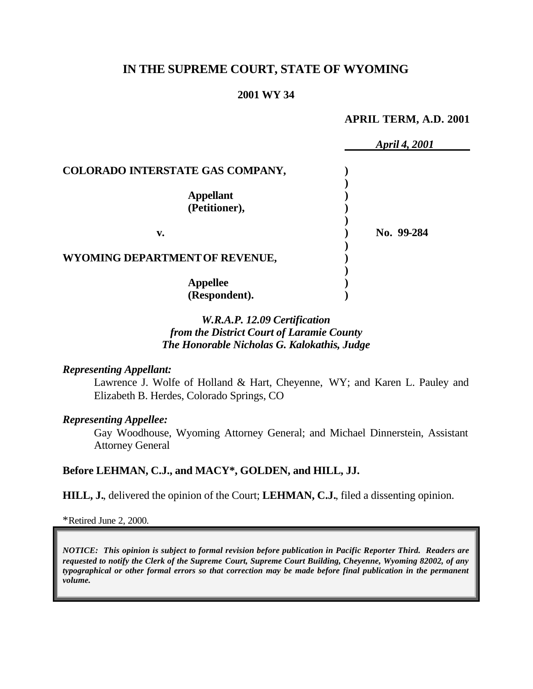# **IN THE SUPREME COURT, STATE OF WYOMING**

### **2001 WY 34**

#### **APRIL TERM, A.D. 2001**

|                                   | <b>April 4, 2001</b> |
|-----------------------------------|----------------------|
| COLORADO INTERSTATE GAS COMPANY,  |                      |
| <b>Appellant</b><br>(Petitioner), |                      |
| v.                                | No. 99-284           |
| WYOMING DEPARTMENT OF REVENUE,    |                      |
| <b>Appellee</b><br>(Respondent).  |                      |

## *W.R.A.P. 12.09 Certification from the District Court of Laramie County The Honorable Nicholas G. Kalokathis, Judge*

#### *Representing Appellant:*

Lawrence J. Wolfe of Holland & Hart, Cheyenne, WY; and Karen L. Pauley and Elizabeth B. Herdes, Colorado Springs, CO

#### *Representing Appellee:*

Gay Woodhouse, Wyoming Attorney General; and Michael Dinnerstein, Assistant Attorney General

#### **Before LEHMAN, C.J., and MACY\*, GOLDEN, and HILL, JJ.**

**HILL, J.**, delivered the opinion of the Court; **LEHMAN, C.J.**, filed a dissenting opinion.

\*Retired June 2, 2000.

*NOTICE: This opinion is subject to formal revision before publication in Pacific Reporter Third. Readers are requested to notify the Clerk of the Supreme Court, Supreme Court Building, Cheyenne, Wyoming 82002, of any typographical or other formal errors so that correction may be made before final publication in the permanent volume.*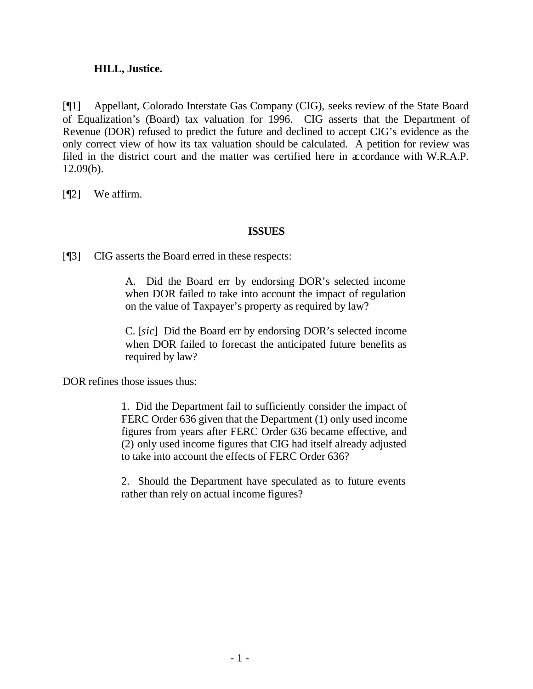### **HILL, Justice.**

[¶1] Appellant, Colorado Interstate Gas Company (CIG), seeks review of the State Board of Equalization's (Board) tax valuation for 1996. CIG asserts that the Department of Revenue (DOR) refused to predict the future and declined to accept CIG's evidence as the only correct view of how its tax valuation should be calculated. A petition for review was filed in the district court and the matter was certified here in accordance with W.R.A.P. 12.09(b).

[¶2] We affirm.

### **ISSUES**

[¶3] CIG asserts the Board erred in these respects:

A. Did the Board err by endorsing DOR's selected income when DOR failed to take into account the impact of regulation on the value of Taxpayer's property as required by law?

C. [*sic*] Did the Board err by endorsing DOR's selected income when DOR failed to forecast the anticipated future benefits as required by law?

DOR refines those issues thus:

1. Did the Department fail to sufficiently consider the impact of FERC Order 636 given that the Department (1) only used income figures from years after FERC Order 636 became effective, and (2) only used income figures that CIG had itself already adjusted to take into account the effects of FERC Order 636?

2. Should the Department have speculated as to future events rather than rely on actual income figures?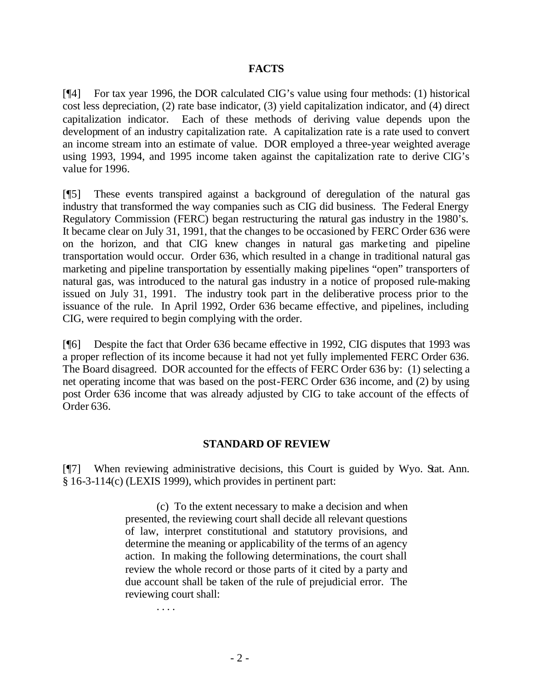### **FACTS**

[¶4] For tax year 1996, the DOR calculated CIG's value using four methods: (1) historical cost less depreciation, (2) rate base indicator, (3) yield capitalization indicator, and (4) direct capitalization indicator. Each of these methods of deriving value depends upon the development of an industry capitalization rate. A capitalization rate is a rate used to convert an income stream into an estimate of value. DOR employed a three-year weighted average using 1993, 1994, and 1995 income taken against the capitalization rate to derive CIG's value for 1996.

[¶5] These events transpired against a background of deregulation of the natural gas industry that transformed the way companies such as CIG did business. The Federal Energy Regulatory Commission (FERC) began restructuring the natural gas industry in the 1980's. It became clear on July 31, 1991, that the changes to be occasioned by FERC Order 636 were on the horizon, and that CIG knew changes in natural gas marketing and pipeline transportation would occur. Order 636, which resulted in a change in traditional natural gas marketing and pipeline transportation by essentially making pipelines "open" transporters of natural gas, was introduced to the natural gas industry in a notice of proposed rule-making issued on July 31, 1991. The industry took part in the deliberative process prior to the issuance of the rule. In April 1992, Order 636 became effective, and pipelines, including CIG, were required to begin complying with the order.

[¶6] Despite the fact that Order 636 became effective in 1992, CIG disputes that 1993 was a proper reflection of its income because it had not yet fully implemented FERC Order 636. The Board disagreed. DOR accounted for the effects of FERC Order 636 by: (1) selecting a net operating income that was based on the post-FERC Order 636 income, and (2) by using post Order 636 income that was already adjusted by CIG to take account of the effects of Order 636.

### **STANDARD OF REVIEW**

[¶7] When reviewing administrative decisions, this Court is guided by Wyo. Stat. Ann. § 16-3-114(c) (LEXIS 1999), which provides in pertinent part:

> (c) To the extent necessary to make a decision and when presented, the reviewing court shall decide all relevant questions of law, interpret constitutional and statutory provisions, and determine the meaning or applicability of the terms of an agency action. In making the following determinations, the court shall review the whole record or those parts of it cited by a party and due account shall be taken of the rule of prejudicial error. The reviewing court shall:

. . . .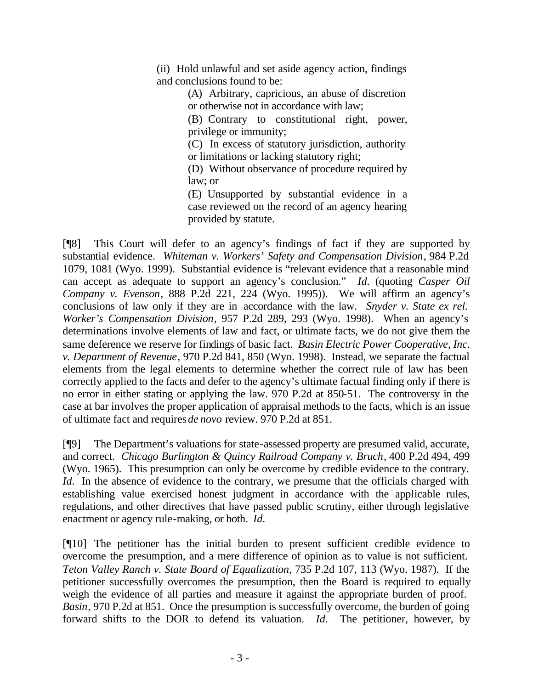(ii) Hold unlawful and set aside agency action, findings and conclusions found to be:

> (A) Arbitrary, capricious, an abuse of discretion or otherwise not in accordance with law;

> (B) Contrary to constitutional right, power, privilege or immunity;

(C) In excess of statutory jurisdiction, authority or limitations or lacking statutory right;

(D) Without observance of procedure required by law; or

(E) Unsupported by substantial evidence in a case reviewed on the record of an agency hearing provided by statute.

[¶8] This Court will defer to an agency's findings of fact if they are supported by substantial evidence. *Whiteman v. Workers' Safety and Compensation Division*, 984 P.2d 1079, 1081 (Wyo. 1999). Substantial evidence is "relevant evidence that a reasonable mind can accept as adequate to support an agency's conclusion." *Id.* (quoting *Casper Oil Company v. Evenson*, 888 P.2d 221, 224 (Wyo. 1995)). We will affirm an agency's conclusions of law only if they are in accordance with the law. *Snyder v. State ex rel. Worker's Compensation Division*, 957 P.2d 289, 293 (Wyo. 1998). When an agency's determinations involve elements of law and fact, or ultimate facts, we do not give them the same deference we reserve for findings of basic fact. *Basin Electric Power Cooperative, Inc. v. Department of Revenue*, 970 P.2d 841, 850 (Wyo. 1998). Instead, we separate the factual elements from the legal elements to determine whether the correct rule of law has been correctly applied to the facts and defer to the agency's ultimate factual finding only if there is no error in either stating or applying the law. 970 P.2d at 850-51. The controversy in the case at bar involves the proper application of appraisal methods to the facts, which is an issue of ultimate fact and requires *de novo* review. 970 P.2d at 851.

[¶9] The Department's valuations for state-assessed property are presumed valid, accurate, and correct. *Chicago Burlington & Quincy Railroad Company v. Bruch*, 400 P.2d 494, 499 (Wyo. 1965). This presumption can only be overcome by credible evidence to the contrary. *Id.* In the absence of evidence to the contrary, we presume that the officials charged with establishing value exercised honest judgment in accordance with the applicable rules, regulations, and other directives that have passed public scrutiny, either through legislative enactment or agency rule-making, or both. *Id.*

[¶10] The petitioner has the initial burden to present sufficient credible evidence to overcome the presumption, and a mere difference of opinion as to value is not sufficient. *Teton Valley Ranch v. State Board of Equalization*, 735 P.2d 107, 113 (Wyo. 1987). If the petitioner successfully overcomes the presumption, then the Board is required to equally weigh the evidence of all parties and measure it against the appropriate burden of proof. *Basin*, 970 P.2d at 851. Once the presumption is successfully overcome, the burden of going forward shifts to the DOR to defend its valuation. *Id.* The petitioner, however, by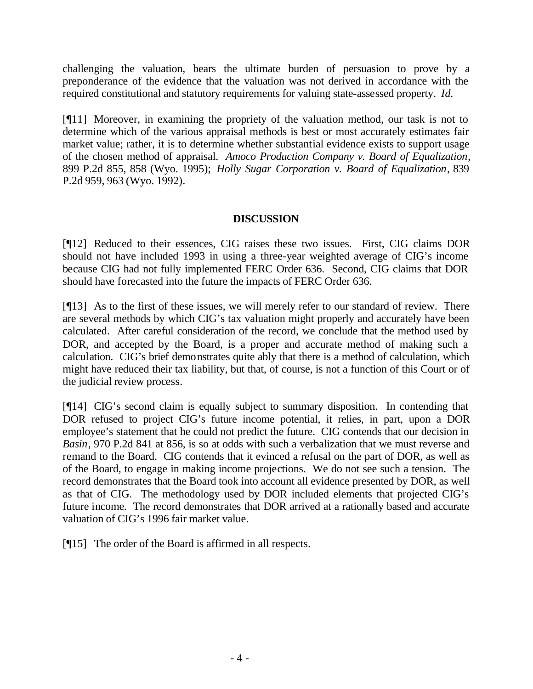challenging the valuation, bears the ultimate burden of persuasion to prove by a preponderance of the evidence that the valuation was not derived in accordance with the required constitutional and statutory requirements for valuing state-assessed property. *Id.*

[¶11] Moreover, in examining the propriety of the valuation method, our task is not to determine which of the various appraisal methods is best or most accurately estimates fair market value; rather, it is to determine whether substantial evidence exists to support usage of the chosen method of appraisal. *Amoco Production Company v. Board of Equalization*, 899 P.2d 855, 858 (Wyo. 1995); *Holly Sugar Corporation v. Board of Equalization*, 839 P.2d 959, 963 (Wyo. 1992).

## **DISCUSSION**

[¶12] Reduced to their essences, CIG raises these two issues. First, CIG claims DOR should not have included 1993 in using a three-year weighted average of CIG's income because CIG had not fully implemented FERC Order 636. Second, CIG claims that DOR should have forecasted into the future the impacts of FERC Order 636.

[¶13] As to the first of these issues, we will merely refer to our standard of review. There are several methods by which CIG's tax valuation might properly and accurately have been calculated. After careful consideration of the record, we conclude that the method used by DOR, and accepted by the Board, is a proper and accurate method of making such a calculation. CIG's brief demonstrates quite ably that there is a method of calculation, which might have reduced their tax liability, but that, of course, is not a function of this Court or of the judicial review process.

[¶14] CIG's second claim is equally subject to summary disposition. In contending that DOR refused to project CIG's future income potential, it relies, in part, upon a DOR employee's statement that he could not predict the future. CIG contends that our decision in *Basin*, 970 P.2d 841 at 856, is so at odds with such a verbalization that we must reverse and remand to the Board. CIG contends that it evinced a refusal on the part of DOR, as well as of the Board, to engage in making income projections. We do not see such a tension. The record demonstrates that the Board took into account all evidence presented by DOR, as well as that of CIG. The methodology used by DOR included elements that projected CIG's future income. The record demonstrates that DOR arrived at a rationally based and accurate valuation of CIG's 1996 fair market value.

[¶15] The order of the Board is affirmed in all respects.